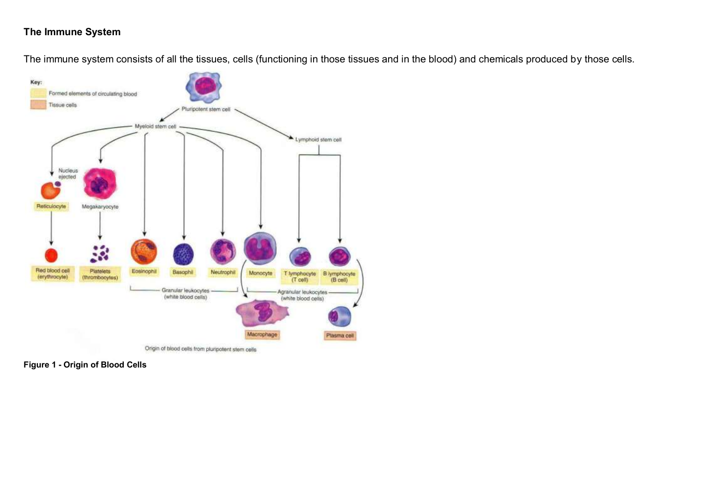## **The Immune System**

The immune system consists of all the tissues, cells (functioning in those tissues and in the blood) and chemicals produced by those cells.



**Figure 1 - Origin of Blood Cells**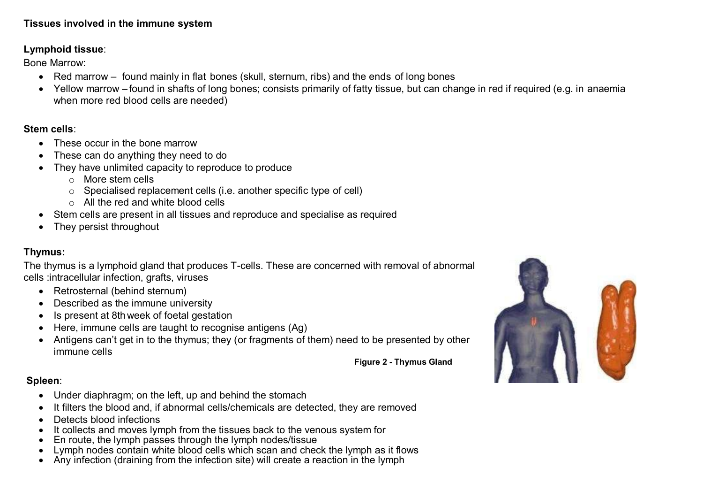### **Tissues involved in the immune system**

## **Lymphoid tissue**:

Bone Marrow:

- Red marrow found mainly in flat bones (skull, sternum, ribs) and the ends of long bones
- Yellow marrow found in shafts of long bones; consists primarily of fatty tissue, but can change in red if required (e.g. in anaemia when more red blood cells are needed)

## **Stem cells**:

- These occur in the bone marrow
- These can do anything they need to do
- They have unlimited capacity to reproduce to produce
	- $\circ$  More stem cells
	- o Specialised replacement cells (i.e. another specific type of cell)
	- o All the red and white blood cells
- Stem cells are present in all tissues and reproduce and specialise as required
- They persist throughout

# **Thymus:**

The thymus is a lymphoid gland that produces T-cells. These are concerned with removal of abnormal cells :intracellular infection, grafts, viruses

- Retrosternal (behind sternum)
- Described as the immune university
- Is present at 8thweek of foetal gestation
- Here, immune cells are taught to recognise antigens (Ag)
- Antigens can't get in to the thymus; they (or fragments of them) need to be presented by other immune cells



**Figure 2 - Thymus Gland**

# **Spleen**:

- Under diaphragm; on the left, up and behind the stomach
- It filters the blood and, if abnormal cells/chemicals are detected, they are removed
- Detects blood infections
- It collects and moves lymph from the tissues back to the venous system for
- En route, the lymph passes through the lymph nodes/tissue
- Lymph nodes contain white blood cells which scan and check the lymph as it flows
- Any infection (draining from the infection site) will create a reaction in the lymph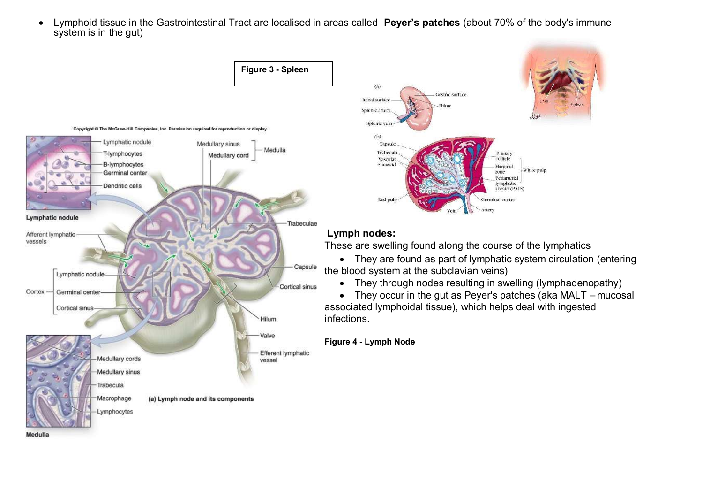Lymphoid tissue in the Gastrointestinal Tract are localised in areas called **Peyer's patches** (about 70% of the body's immune system is in the gut)

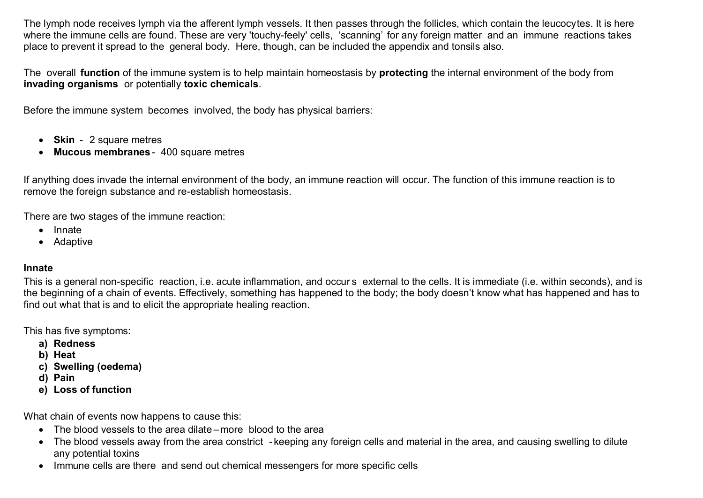The lymph node receives lymph via the afferent lymph vessels. It then passes through the follicles, which contain the leucocytes. It is here where the immune cells are found. These are very 'touchy-feely' cells, 'scanning' for any foreign matter and an immune reactions takes place to prevent it spread to the general body. Here, though, can be included the appendix and tonsils also.

The overall **function** of the immune system is to help maintain homeostasis by **protecting** the internal environment of the body from **invading organisms** or potentially **toxic chemicals**.

Before the immune system becomes involved, the body has physical barriers:

- **Skin** 2 square metres
- **Mucous membranes** 400 square metres

If anything does invade the internal environment of the body, an immune reaction will occur. The function of this immune reaction is to remove the foreign substance and re-establish homeostasis.

There are two stages of the immune reaction:

- Innate
- Adaptive

#### **Innate**

This is a general non-specific reaction, i.e. acute inflammation, and occur s external to the cells. It is immediate (i.e. within seconds), and is the beginning of a chain of events. Effectively, something has happened to the body; the body doesn't know what has happened and has to find out what that is and to elicit the appropriate healing reaction.

This has five symptoms:

- **a) Redness**
- **b) Heat**
- **c) Swelling (oedema)**
- **d) Pain**
- **e) Loss of function**

What chain of events now happens to cause this:

- The blood vessels to the area dilate more blood to the area
- The blood vessels away from the area constrict keeping any foreign cells and material in the area, and causing swelling to dilute any potential toxins
- Immune cells are there and send out chemical messengers for more specific cells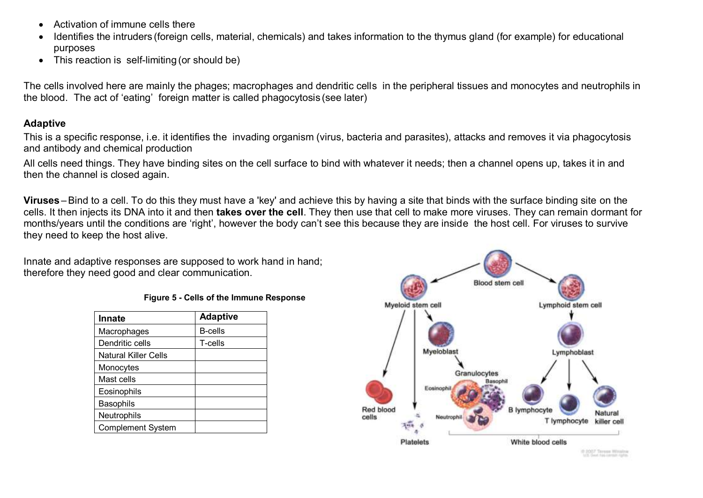- Activation of immune cells there
- Identifies the intruders (foreign cells, material, chemicals) and takes information to the thymus gland (for example) for educational purposes
- This reaction is self-limiting (or should be)

The cells involved here are mainly the phages; macrophages and dendritic cells in the peripheral tissues and monocytes and neutrophils in the blood. The act of 'eating' foreign matter is called phagocytosis (see later)

#### **Adaptive**

This is a specific response, i.e. it identifies the invading organism (virus, bacteria and parasites), attacks and removes it via phagocytosis and antibody and chemical production

All cells need things. They have binding sites on the cell surface to bind with whatever it needs; then a channel opens up, takes it in and then the channel is closed again.

**Viruses** –Bind to a cell. To do this they must have a 'key' and achieve this by having a site that binds with the surface binding site on the cells. It then injects its DNA into it and then **takes over the cell**. They then use that cell to make more viruses. They can remain dormant for months/years until the conditions are 'right', however the body can't see this because they are inside the host cell. For viruses to survive they need to keep the host alive.

Innate and adaptive responses are supposed to work hand in hand; therefore they need good and clear communication.

| Figure 5 - Cells of the Immune Response |  |  |  |  |  |
|-----------------------------------------|--|--|--|--|--|
|-----------------------------------------|--|--|--|--|--|

| <b>Innate</b>            | <b>Adaptive</b> |  |
|--------------------------|-----------------|--|
| Macrophages              | <b>B-cells</b>  |  |
| Dendritic cells          | T-cells         |  |
| Natural Killer Cells     |                 |  |
| Monocytes                |                 |  |
| Mast cells               |                 |  |
| Eosinophils              |                 |  |
| <b>Basophils</b>         |                 |  |
| Neutrophils              |                 |  |
| <b>Complement System</b> |                 |  |

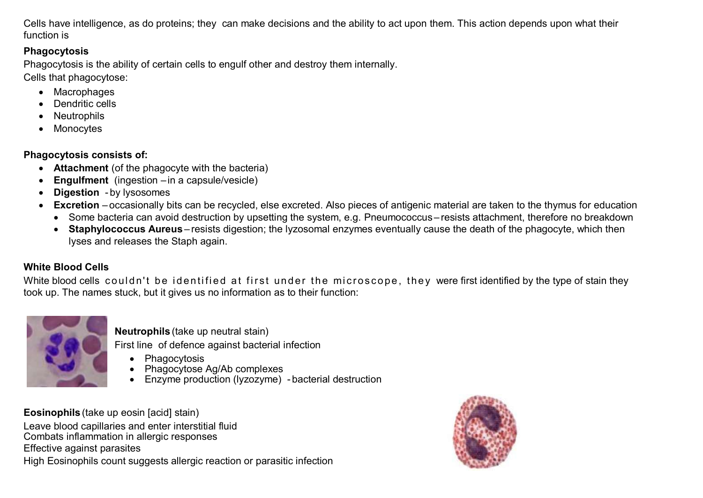Cells have intelligence, as do proteins; they can make decisions and the ability to act upon them. This action depends upon what their function is

## **Phagocytosis**

Phagocytosis is the ability of certain cells to engulf other and destroy them internally. Cells that phagocytose:

- Macrophages
- Dendritic cells
- Neutrophils
- Monocytes

**Phagocytosis consists of:**

- **Attachment** (of the phagocyte with the bacteria)
- **Engulfment** (ingestion –in a capsule/vesicle)
- **Digestion** by lysosomes
- **Excretion** occasionally bits can be recycled, else excreted. Also pieces of antigenic material are taken to the thymus for education
	- Some bacteria can avoid destruction by upsetting the system, e.g. Pneumococcus–resists attachment, therefore no breakdown
	- **Staphylococcus Aureus** resists digestion; the lyzosomal enzymes eventually cause the death of the phagocyte, which then lyses and releases the Staph again.

# **White Blood Cells**

White blood cells couldn't be identified at first under the microscope, they were first identified by the type of stain they took up. The names stuck, but it gives us no information as to their function:



**Neutrophils** (take up neutral stain)

First line of defence against bacterial infection

- Phagocytosis
- Phagocytose Ag/Ab complexes
- Enzyme production (Ivzozyme) bacterial destruction

**Eosinophils** (take up eosin [acid] stain)

Leave blood capillaries and enter interstitial fluid Combats inflammation in allergic responses Effective against parasites High Eosinophils count suggests allergic reaction or parasitic infection

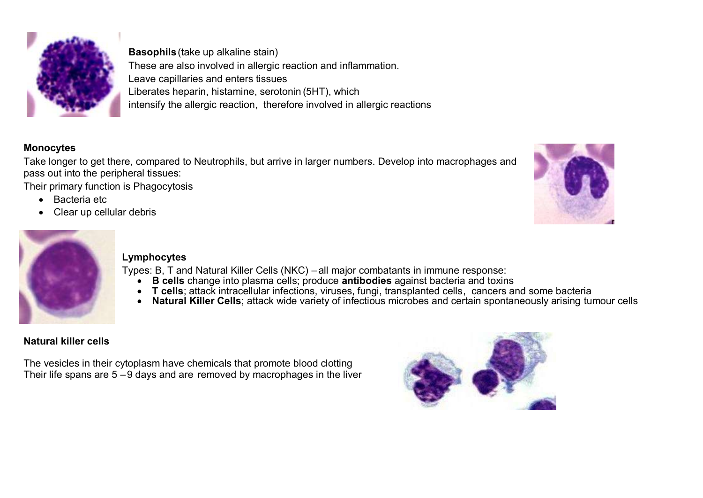

**Basophils**(take up alkaline stain) These are also involved in allergic reaction and inflammation. Leave capillaries and enters tissues Liberates heparin, histamine, serotonin (5HT), which intensify the allergic reaction, therefore involved in allergic reactions

## **Monocytes**

Take longer to get there, compared to Neutrophils, but arrive in larger numbers. Develop into macrophages and pass out into the peripheral tissues:

Their primary function is Phagocytosis

- Bacteria etc
- Clear up cellular debris





## **Lymphocytes**

Types: B, T and Natural Killer Cells (NKC) – all major combatants in immune response:

- **B cells** change into plasma cells; produce **antibodies** against bacteria and toxins
- T cells; attack intracellular infections, viruses, fungi, transplanted cells, cancers and some bacteria
- **Natural Killer Cells**; attack wide variety of infectious microbes and certain spontaneously arising tumour cells

# **Natural killer cells**

The vesicles in their cytoplasm have chemicals that promote blood clotting Their life spans are 5 –9 days and are removed by macrophages in the liver

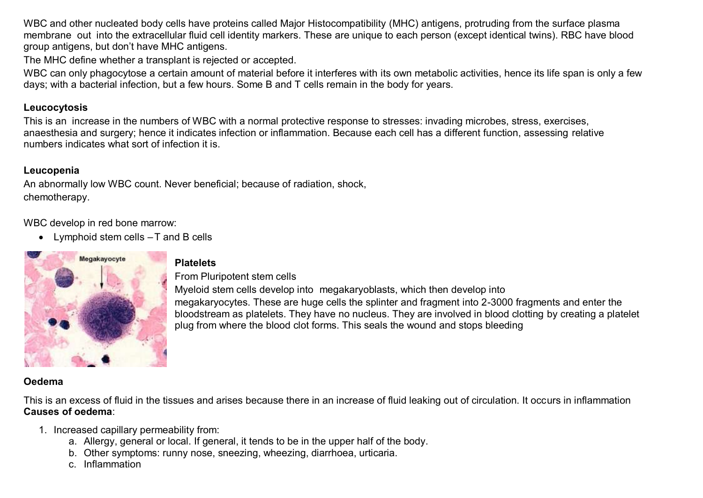WBC and other nucleated body cells have proteins called Major Histocompatibility (MHC) antigens, protruding from the surface plasma membrane out into the extracellular fluid cell identity markers. These are unique to each person (except identical twins). RBC have blood group antigens, but don't have MHC antigens.

The MHC define whether a transplant is rejected or accepted.

WBC can only phagocytose a certain amount of material before it interferes with its own metabolic activities, hence its life span is only a few days; with a bacterial infection, but a few hours. Some B and T cells remain in the body for years.

### **Leucocytosis**

This is an increase in the numbers of WBC with a normal protective response to stresses: invading microbes, stress, exercises, anaesthesia and surgery; hence it indicates infection or inflammation. Because each cell has a different function, assessing relative numbers indicates what sort of infection it is.

### **Leucopenia**

An abnormally low WBC count. Never beneficial; because of radiation, shock, chemotherapy.

WBC develop in red bone marrow:

• Lymphoid stem cells - T and B cells



#### **Platelets**

From Pluripotent stem cells

Myeloid stem cells develop into megakaryoblasts, which then develop into megakaryocytes. These are huge cells the splinter and fragment into 2-3000 fragments and enter the bloodstream as platelets. They have no nucleus. They are involved in blood clotting by creating a platelet plug from where the blood clot forms. This seals the wound and stops bleeding

### **Oedema**

This is an excess of fluid in the tissues and arises because there in an increase of fluid leaking out of circulation. It occurs in inflammation **Causes of oedema**:

- 1. Increased capillary permeability from:
	- a. Allergy, general or local. If general, it tends to be in the upper half of the body.
	- b. Other symptoms: runny nose, sneezing, wheezing, diarrhoea, urticaria.
	- c. Inflammation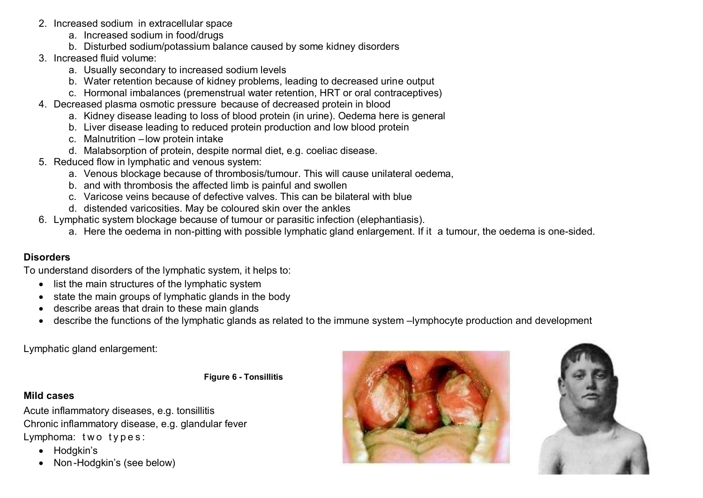- 2. Increased sodium in extracellular space
	- a. Increased sodium in food/drugs
	- b. Disturbed sodium/potassium balance caused by some kidney disorders
- 3. Increased fluid volume:
	- a. Usually secondary to increased sodium levels
	- b. Water retention because of kidney problems, leading to decreased urine output
	- c. Hormonal imbalances (premenstrual water retention, HRT or oral contraceptives)
- 4. Decreased plasma osmotic pressure because of decreased protein in blood
	- a. Kidney disease leading to loss of blood protein (in urine). Oedema here is general
	- b. Liver disease leading to reduced protein production and low blood protein
	- c. Malnutrition –low protein intake
	- d. Malabsorption of protein, despite normal diet, e.g. coeliac disease.
- 5. Reduced flow in lymphatic and venous system:
	- a. Venous blockage because of thrombosis/tumour. This will cause unilateral oedema,
	- b. and with thrombosis the affected limb is painful and swollen
	- c. Varicose veins because of defective valves. This can be bilateral with blue
	- d. distended varicosities. May be coloured skin over the ankles
- 6. Lymphatic system blockage because of tumour or parasitic infection (elephantiasis).
	- a. Here the oedema in non-pitting with possible lymphatic gland enlargement. If it a tumour, the oedema is one-sided.

# **Disorders**

To understand disorders of the lymphatic system, it helps to:

- list the main structures of the lymphatic system
- state the main groups of lymphatic glands in the body
- describe areas that drain to these main glands
- describe the functions of the lymphatic glands as related to the immune system –lymphocyte production and development

Lymphatic gland enlargement:

**Figure 6 - Tonsillitis**

## **Mild cases**

Acute inflammatory diseases, e.g. tonsillitis Chronic inflammatory disease, e.g. glandular fever Lymphoma: two types:

- Hodgkin's
- Non -Hodgkin's (see below)



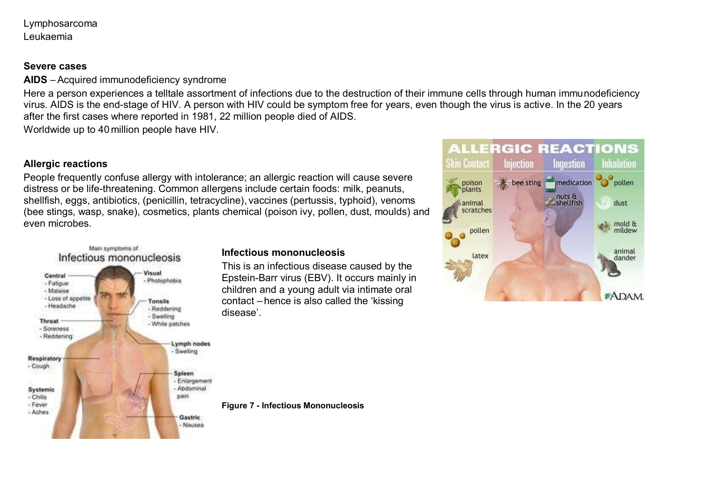Lymphosarcoma Leukaemia

#### **Severe cases**

**AIDS** –Acquired immunodeficiency syndrome

Here a person experiences a telltale assortment of infections due to the destruction of their immune cells through human immunodeficiency virus. AIDS is the end-stage of HIV. A person with HIV could be symptom free for years, even though the virus is active. In the 20 years after the first cases where reported in 1981, 22 million people died of AIDS.

Worldwide up to 40 million people have HIV.

#### **Allergic reactions**

People frequently confuse allergy with intolerance; an allergic reaction will cause severe distress or be life-threatening. Common allergens include certain foods: milk, peanuts, shellfish, eggs, antibiotics, (penicillin, tetracycline), vaccines (pertussis, typhoid), venoms (bee stings, wasp, snake), cosmetics, plants chemical (poison ivy, pollen, dust, moulds) and even microbes.



#### **Infectious mononucleosis**

This is an infectious disease caused by the Epstein-Barr virus (EBV). It occurs mainly in children and a young adult via intimate oral contact – hence is also called the 'kissing disease'.

**Figure 7 - Infectious Mononucleosis**